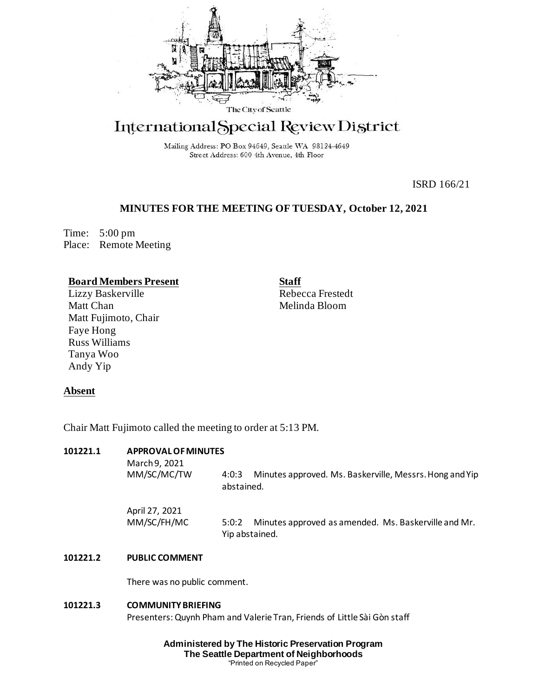

# International Special Review District

Mailing Address: PO Box 94649, Seattle WA 98124-4649 Street Address: 600 4th Avenue, 4th Floor

ISRD 166/21

## **MINUTES FOR THE MEETING OF TUESDAY, October 12, 2021**

Time: 5:00 pm Place: Remote Meeting

## **Board Members Present**

Lizzy Baskerville Matt Chan Matt Fujimoto, Chair Faye Hong Russ Williams Tanya Woo Andy Yip

**Staff** Rebecca Frestedt Melinda Bloom

## **Absent**

Chair Matt Fujimoto called the meeting to order at 5:13 PM.

## **101221.1 APPROVAL OF MINUTES**

| March 9, 2021<br>MM/SC/MC/TW  | Minutes approved. Ms. Baskerville, Messrs. Hong and Yip<br>4:0:3<br>abstained.  |
|-------------------------------|---------------------------------------------------------------------------------|
| April 27, 2021<br>MM/SC/FH/MC | Minutes approved as amended. Ms. Baskerville and Mr.<br>5:0:2<br>Yip abstained. |

## **101221.2 PUBLIC COMMENT**

There was no public comment.

#### **101221.3 COMMUNITY BRIEFING**

Presenters: Quynh Pham and Valerie Tran, Friends of Little Sài Gòn staff

**Administered by The Historic Preservation Program The Seattle Department of Neighborhoods** "Printed on Recycled Paper"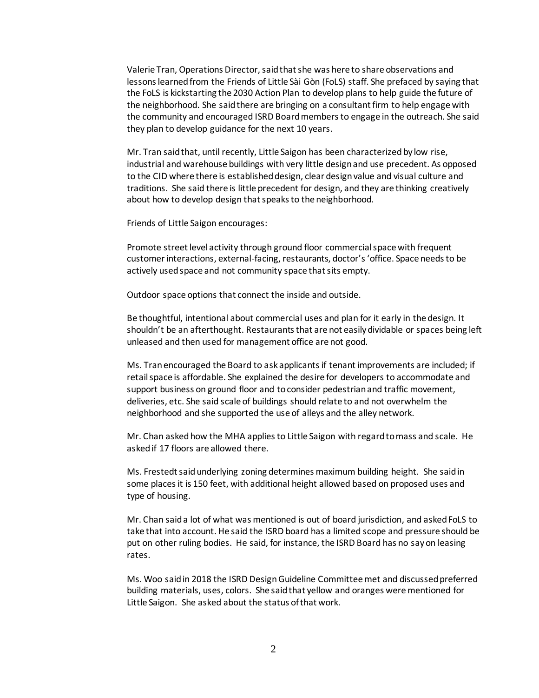Valerie Tran, Operations Director, said that she was here to share observations and lessons learned from the Friends of Little Sài Gòn (FoLS) staff. She prefaced by saying that the FoLS is kickstarting the 2030 Action Plan to develop plans to help guide the future of the neighborhood. She said there are bringing on a consultant firm to help engage with the community and encouraged ISRD Board members to engage in the outreach. She said they plan to develop guidance for the next 10 years.

Mr. Tran said that, until recently, Little Saigon has been characterized by low rise, industrial and warehouse buildings with very little design and use precedent. As opposed to the CID where there is established design, clear design value and visual culture and traditions. She said there is little precedent for design, and they are thinking creatively about how to develop design that speaks to the neighborhood.

Friends of Little Saigon encourages:

Promote street level activity through ground floor commercial space with frequent customer interactions, external-facing, restaurants, doctor's 'office. Space needs to be actively used space and not community space that sits empty.

Outdoor space options that connect the inside and outside.

Be thoughtful, intentional about commercial uses and plan for it early in the design. It shouldn't be an afterthought. Restaurants that are not easily dividable or spaces being left unleased and then used for management office are not good.

Ms. Tran encouraged the Board to ask applicants if tenant improvements are included; if retail space is affordable. She explained the desire for developers to accommodate and support business on ground floor and to consider pedestrian and traffic movement, deliveries, etc. She said scale of buildings should relate to and not overwhelm the neighborhood and she supported the use of alleys and the alley network.

Mr. Chan asked how the MHA applies to Little Saigon with regard to mass and scale. He asked if 17 floors are allowed there.

Ms. Frestedt said underlying zoning determines maximum building height. She said in some places it is 150 feet, with additional height allowed based on proposed uses and type of housing.

Mr. Chan said a lot of what was mentioned is out of board jurisdiction, and asked FoLS to take that into account. He said the ISRD board has a limited scope and pressure should be put on other ruling bodies. He said, for instance, the ISRD Board has no say on leasing rates.

Ms. Woo said in 2018 the ISRD Design Guideline Committee met and discussed preferred building materials, uses, colors. She said that yellow and oranges were mentioned for Little Saigon. She asked about the status of that work.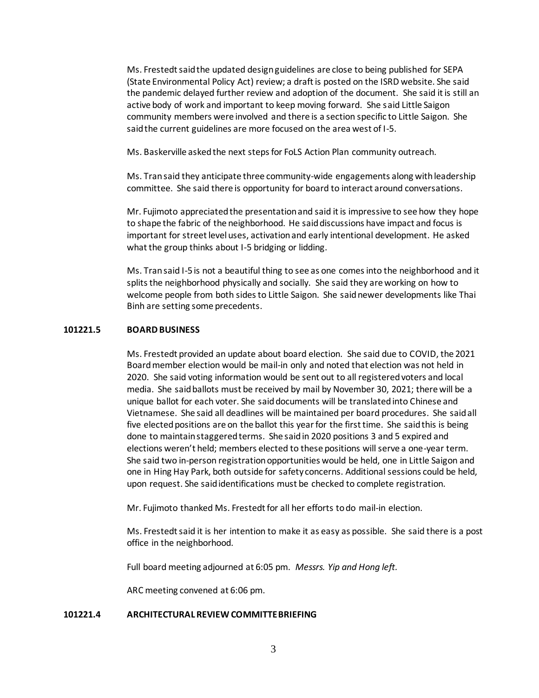Ms. Frestedt said the updated design guidelines are close to being published for SEPA (State Environmental Policy Act) review; a draft is posted on the ISRD website. She said the pandemic delayed further review and adoption of the document. She said it is still an active body of work and important to keep moving forward. She said Little Saigon community members were involved and there is a section specific to Little Saigon. She said the current guidelines are more focused on the area west of I-5.

Ms. Baskerville asked the next steps for FoLS Action Plan community outreach.

Ms. Tran said they anticipate three community-wide engagements along with leadership committee. She said there is opportunity for board to interact around conversations.

Mr. Fujimoto appreciated the presentation and said it is impressive to see how they hope to shape the fabric of the neighborhood. He said discussions have impact and focus is important for street level uses, activation and early intentional development. He asked what the group thinks about I-5 bridging or lidding.

Ms. Tran said I-5 is not a beautiful thing to see as one comes into the neighborhood and it splits the neighborhood physically and socially. She said they are working on how to welcome people from both sides to Little Saigon. She said newer developments like Thai Binh are setting some precedents.

#### **101221.5 BOARD BUSINESS**

Ms. Frestedt provided an update about board election. She said due to COVID, the 2021 Board member election would be mail-in only and noted that election was not held in 2020. She said voting information would be sent out to all registered voters and local media. She said ballots must be received by mail by November 30, 2021; there will be a unique ballot for each voter. She said documents will be translated into Chinese and Vietnamese. She said all deadlines will be maintained per board procedures. She said all five elected positions are on the ballot this year for the first time. She said this is being done to maintain staggered terms. She said in 2020 positions 3 and 5 expired and elections weren't held; members elected to these positions will serve a one-year term. She said two in-person registration opportunities would be held, one in Little Saigon and one in Hing Hay Park, both outside for safety concerns. Additional sessions could be held, upon request. She said identifications must be checked to complete registration.

Mr. Fujimoto thanked Ms. Frestedt for all her efforts to do mail-in election.

Ms. Frestedt said it is her intention to make it as easy as possible. She said there is a post office in the neighborhood.

Full board meeting adjourned at 6:05 pm. *Messrs. Yip and Hong left.*

ARC meeting convened at 6:06 pm.

#### **101221.4 ARCHITECTURAL REVIEW COMMITTE BRIEFING**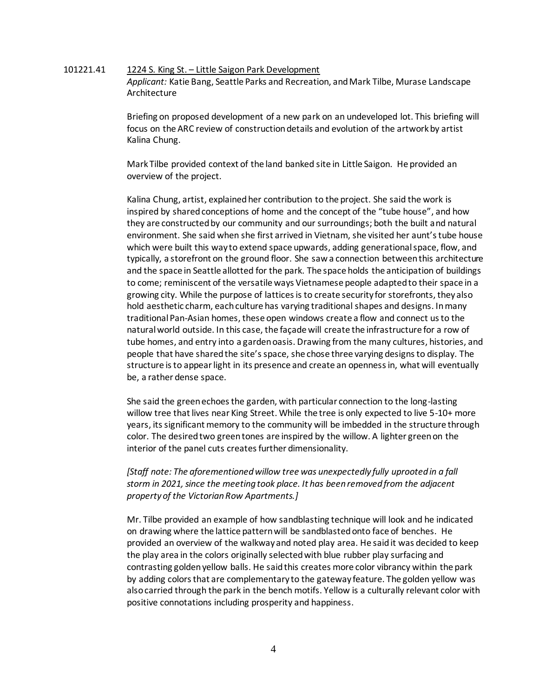## 101221.41 1224 S. King St. – Little Saigon Park Development *Applicant:* Katie Bang, Seattle Parks and Recreation, and Mark Tilbe, Murase Landscape Architecture

Briefing on proposed development of a new park on an undeveloped lot. This briefing will focus on the ARC review of construction details and evolution of the artwork by artist Kalina Chung.

Mark Tilbe provided context of the land banked site in Little Saigon. He provided an overview of the project.

Kalina Chung, artist, explained her contribution to the project. She said the work is inspired by shared conceptions of home and the concept of the "tube house", and how they are constructed by our community and our surroundings; both the built and natural environment. She said when she first arrived in Vietnam, she visited her aunt's tube house which were built this way to extend space upwards, adding generational space, flow, and typically, a storefront on the ground floor. She saw a connection between this architecture and the space in Seattle allotted for the park. The space holds the anticipation of buildings to come; reminiscent of the versatile ways Vietnamese people adapted to their space in a growing city. While the purpose of lattices is to create security for storefronts, they also hold aesthetic charm, each culture has varying traditional shapes and designs. In many traditional Pan-Asian homes, these open windows create a flow and connect us to the natural world outside. In this case, the façade will create the infrastructure for a row of tube homes, and entry into a garden oasis. Drawing from the many cultures, histories, and people that have shared the site's space, she chose three varying designs to display. The structure is to appear light in its presence and create an openness in, what will eventually be, a rather dense space.

She said the green echoes the garden, with particular connection to the long-lasting willow tree that lives near King Street. While the tree is only expected to live 5-10+ more years, its significant memory to the community will be imbedded in the structure through color. The desired two green tones are inspired by the willow. A lighter green on the interior of the panel cuts creates further dimensionality.

*[Staff note: The aforementioned willow tree was unexpectedly fully uprooted in a fall storm in 2021, since the meeting took place. It has been removed from the adjacent property of the Victorian Row Apartments.]*

Mr. Tilbe provided an example of how sandblasting technique will look and he indicated on drawing where the lattice pattern will be sandblasted onto face of benches. He provided an overview of the walkway and noted play area. He saidit was decided to keep the play area in the colors originally selected with blue rubber play surfacing and contrasting golden yellow balls. He said this creates more color vibrancy within the park by adding colors that are complementary to the gateway feature. The golden yellow was also carried through the park in the bench motifs. Yellow is a culturally relevant color with positive connotations including prosperity and happiness.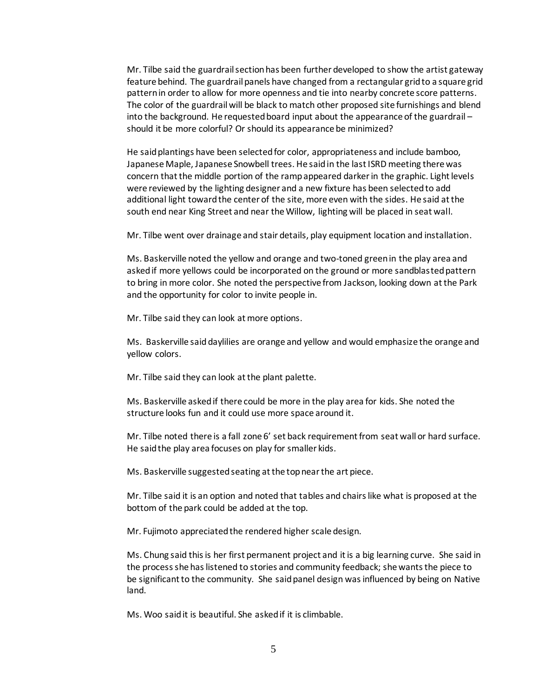Mr. Tilbe said the guardrail section has been further developed to show the artist gateway feature behind. The guardrail panels have changed from a rectangular grid to a square grid pattern in order to allow for more openness and tie into nearby concrete score patterns. The color of the guardrail will be black to match other proposed site furnishings and blend into the background. He requested board input about the appearance of the guardrail – should it be more colorful? Or should its appearance be minimized?

He said plantings have been selected for color, appropriateness and include bamboo, Japanese Maple, Japanese Snowbell trees. He said in the last ISRD meeting there was concern that the middle portion of the ramp appeared darker in the graphic. Light levels were reviewed by the lighting designer and a new fixture has been selected to add additional light toward the center of the site, more even with the sides. He said at the south end near King Street and near the Willow, lighting will be placed in seat wall.

Mr. Tilbe went over drainage and stair details, play equipment location and installation.

Ms. Baskerville noted the yellow and orange and two-toned green in the play area and asked if more yellows could be incorporated on the ground or more sandblasted pattern to bring in more color. She noted the perspective from Jackson, looking down at the Park and the opportunity for color to invite people in.

Mr. Tilbe said they can look at more options.

Ms. Baskerville said daylilies are orange and yellow and would emphasize the orange and yellow colors.

Mr. Tilbe said they can look at the plant palette.

Ms. Baskerville asked if there could be more in the play area for kids. She noted the structure looks fun and it could use more space around it.

Mr. Tilbe noted there is a fall zone 6' set back requirement from seat wall or hard surface. He said the play area focuses on play for smaller kids.

Ms. Baskerville suggested seating at the top near the art piece.

Mr. Tilbe said it is an option and noted that tables and chairs like what is proposed at the bottom of the park could be added at the top.

Mr. Fujimoto appreciated the rendered higher scale design.

Ms. Chung said this is her first permanent project and it is a big learning curve. She said in the process she has listened to stories and community feedback; she wants the piece to be significant to the community. She said panel design was influenced by being on Native land.

Ms. Woo said it is beautiful. She asked if it is climbable.